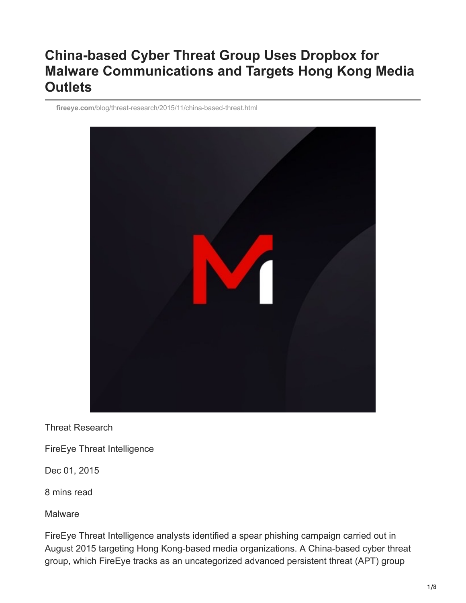# **China-based Cyber Threat Group Uses Dropbox for Malware Communications and Targets Hong Kong Media Outlets**

**fireeye.com**[/blog/threat-research/2015/11/china-based-threat.html](https://www.fireeye.com/blog/threat-research/2015/11/china-based-threat.html)



Threat Research

FireEye Threat Intelligence

Dec 01, 2015

8 mins read

Malware

FireEye Threat Intelligence analysts identified a spear phishing campaign carried out in August 2015 targeting Hong Kong-based media organizations. A China-based cyber threat group, which FireEye tracks as an uncategorized advanced persistent threat (APT) group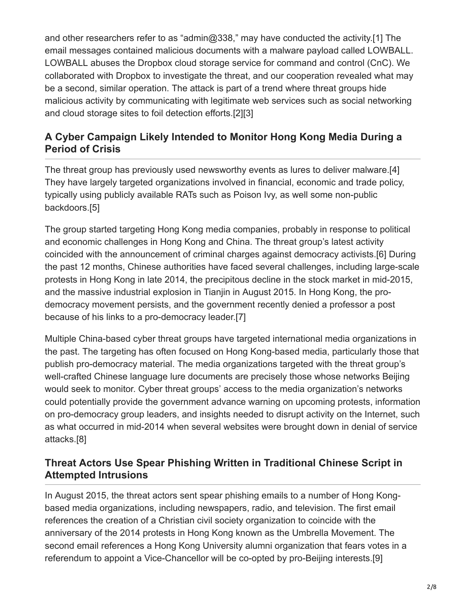and other researchers refer to as "admin@338," may have conducted the activity.[1] The email messages contained malicious documents with a malware payload called LOWBALL. LOWBALL abuses the Dropbox cloud storage service for command and control (CnC). We collaborated with Dropbox to investigate the threat, and our cooperation revealed what may be a second, similar operation. The attack is part of a trend where threat groups hide malicious activity by communicating with legitimate web services such as social networking and cloud storage sites to foil detection efforts.[2][3]

## **A Cyber Campaign Likely Intended to Monitor Hong Kong Media During a Period of Crisis**

The threat group has previously used newsworthy events as lures to deliver malware.[4] They have largely targeted organizations involved in financial, economic and trade policy, typically using publicly available RATs such as Poison Ivy, as well some non-public backdoors.[5]

The group started targeting Hong Kong media companies, probably in response to political and economic challenges in Hong Kong and China. The threat group's latest activity coincided with the announcement of criminal charges against democracy activists.[6] During the past 12 months, Chinese authorities have faced several challenges, including large-scale protests in Hong Kong in late 2014, the precipitous decline in the stock market in mid-2015, and the massive industrial explosion in Tianjin in August 2015. In Hong Kong, the prodemocracy movement persists, and the government recently denied a professor a post because of his links to a pro-democracy leader.[7]

Multiple China-based cyber threat groups have targeted international media organizations in the past. The targeting has often focused on Hong Kong-based media, particularly those that publish pro-democracy material. The media organizations targeted with the threat group's well-crafted Chinese language lure documents are precisely those whose networks Beijing would seek to monitor. Cyber threat groups' access to the media organization's networks could potentially provide the government advance warning on upcoming protests, information on pro-democracy group leaders, and insights needed to disrupt activity on the Internet, such as what occurred in mid-2014 when several websites were brought down in denial of service attacks.[8]

# **Threat Actors Use Spear Phishing Written in Traditional Chinese Script in Attempted Intrusions**

In August 2015, the threat actors sent spear phishing emails to a number of Hong Kongbased media organizations, including newspapers, radio, and television. The first email references the creation of a Christian civil society organization to coincide with the anniversary of the 2014 protests in Hong Kong known as the Umbrella Movement. The second email references a Hong Kong University alumni organization that fears votes in a referendum to appoint a Vice-Chancellor will be co-opted by pro-Beijing interests.[9]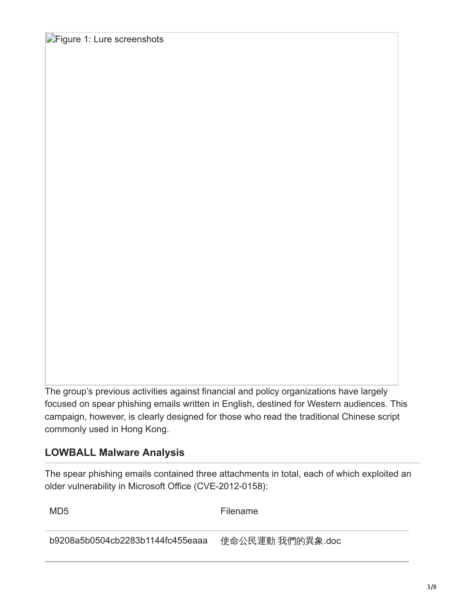**Figure 1: Lure screenshots** 

The group's previous activities against financial and policy organizations have largely focused on spear phishing emails written in English, destined for Western audiences. This campaign, however, is clearly designed for those who read the traditional Chinese script commonly used in Hong Kong.

#### **LOWBALL Malware Analysis**

The spear phishing emails contained three attachments in total, each of which exploited an older vulnerability in Microsoft Office (CVE-2012-0158):

MD5 Filename

b9208a5b0504cb2283b1144fc455eaaa 使命公民運動 我們的異象.doc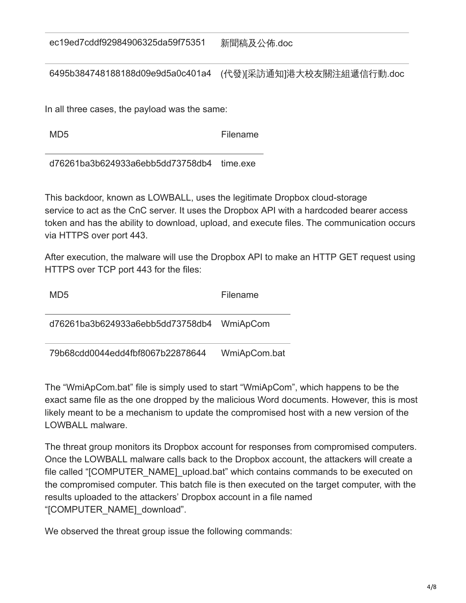ec19ed7cddf92984906325da59f75351 新聞稿及公佈.doc

6495b384748188188d09e9d5a0c401a4 (代發)[采訪通知]港大校友關注組遞信行動.doc

In all three cases, the payload was the same:

MD5 Filename

d76261ba3b624933a6ebb5dd73758db4 time.exe

This backdoor, known as LOWBALL, uses the legitimate Dropbox cloud-storage service to act as the CnC server. It uses the Dropbox API with a hardcoded bearer access token and has the ability to download, upload, and execute files. The communication occurs via HTTPS over port 443.

After execution, the malware will use the Dropbox API to make an HTTP GET request using HTTPS over TCP port 443 for the files:

| MD <sub>5</sub>                           | Filename     |
|-------------------------------------------|--------------|
| d76261ba3b624933a6ebb5dd73758db4 WmiApCom |              |
| 79b68cdd0044edd4fbf8067b22878644          | WmiApCom.bat |

The "WmiApCom.bat" file is simply used to start "WmiApCom", which happens to be the exact same file as the one dropped by the malicious Word documents. However, this is most likely meant to be a mechanism to update the compromised host with a new version of the LOWBALL malware.

The threat group monitors its Dropbox account for responses from compromised computers. Once the LOWBALL malware calls back to the Dropbox account, the attackers will create a file called "[COMPUTER\_NAME]\_upload.bat" which contains commands to be executed on the compromised computer. This batch file is then executed on the target computer, with the results uploaded to the attackers' Dropbox account in a file named "[COMPUTER\_NAME]\_download".

We observed the threat group issue the following commands: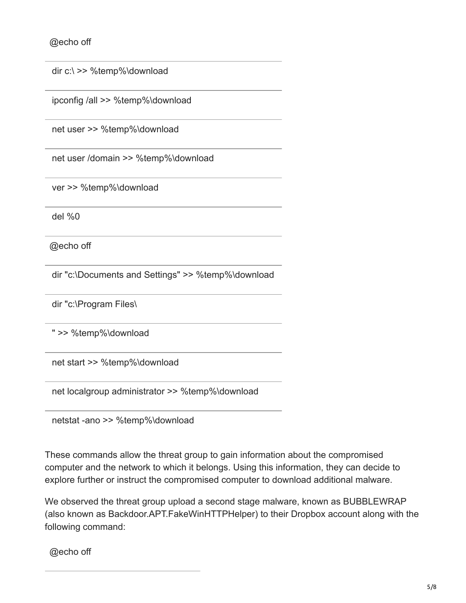@echo off

dir c:\ >> %temp%\download

ipconfig /all >> %temp%\download

net user >> %temp%\download

net user /domain >> %temp%\download

ver >> %temp%\download

del %0

@echo off

dir "c:\Documents and Settings" >> %temp%\download

dir "c:\Program Files\

" >> %temp%\download

net start >> %temp%\download

net localgroup administrator >> %temp%\download

netstat -ano >> %temp%\download

These commands allow the threat group to gain information about the compromised computer and the network to which it belongs. Using this information, they can decide to explore further or instruct the compromised computer to download additional malware.

We observed the threat group upload a second stage malware, known as BUBBLEWRAP (also known as Backdoor.APT.FakeWinHTTPHelper) to their Dropbox account along with the following command:

@echo off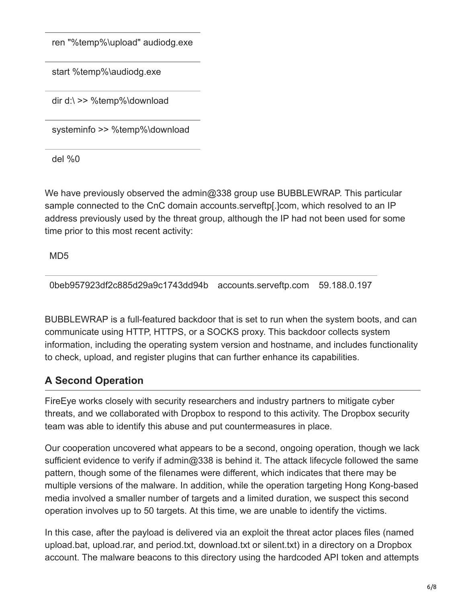ren "%temp%\upload" audiodg.exe

start %temp%\audiodg.exe

dir d:\ >> %temp%\download

systeminfo >> %temp%\download

del %0

We have previously observed the admin@338 group use BUBBLEWRAP. This particular sample connected to the CnC domain accounts.serveftp[.]com, which resolved to an IP address previously used by the threat group, although the IP had not been used for some time prior to this most recent activity:

MD5

0beb957923df2c885d29a9c1743dd94b accounts.serveftp.com 59.188.0.197

BUBBLEWRAP is a full-featured backdoor that is set to run when the system boots, and can communicate using HTTP, HTTPS, or a SOCKS proxy. This backdoor collects system information, including the operating system version and hostname, and includes functionality to check, upload, and register plugins that can further enhance its capabilities.

# **A Second Operation**

FireEye works closely with security researchers and industry partners to mitigate cyber threats, and we collaborated with Dropbox to respond to this activity. The Dropbox security team was able to identify this abuse and put countermeasures in place.

Our cooperation uncovered what appears to be a second, ongoing operation, though we lack sufficient evidence to verify if admin@338 is behind it. The attack lifecycle followed the same pattern, though some of the filenames were different, which indicates that there may be multiple versions of the malware. In addition, while the operation targeting Hong Kong-based media involved a smaller number of targets and a limited duration, we suspect this second operation involves up to 50 targets. At this time, we are unable to identify the victims.

In this case, after the payload is delivered via an exploit the threat actor places files (named upload.bat, upload.rar, and period.txt, download.txt or silent.txt) in a directory on a Dropbox account. The malware beacons to this directory using the hardcoded API token and attempts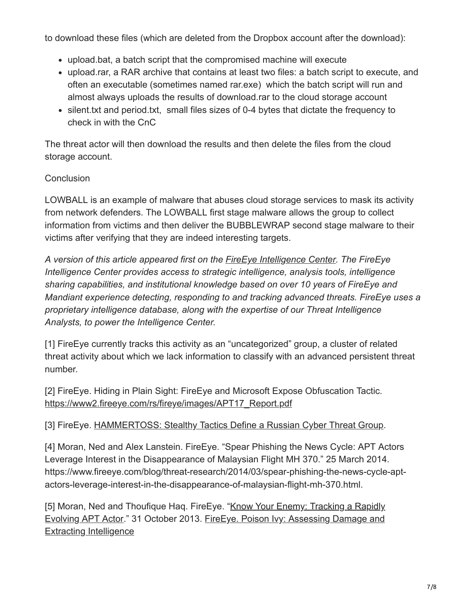to download these files (which are deleted from the Dropbox account after the download):

- upload.bat, a batch script that the compromised machine will execute
- upload.rar, a RAR archive that contains at least two files: a batch script to execute, and often an executable (sometimes named rar.exe) which the batch script will run and almost always uploads the results of download.rar to the cloud storage account
- silent.txt and period.txt, small files sizes of 0-4 bytes that dictate the frequency to check in with the CnC

The threat actor will then download the results and then delete the files from the cloud storage account.

#### **Conclusion**

LOWBALL is an example of malware that abuses cloud storage services to mask its activity from network defenders. The LOWBALL first stage malware allows the group to collect information from victims and then deliver the BUBBLEWRAP second stage malware to their victims after verifying that they are indeed interesting targets.

*A version of this article appeared first on the [FireEye Intelligence Center](https://www.fireeye.com/content/dam/fireeye-www/products/pdfs/pf/intel/ds-fireeye-intelligence-center.pdf). The FireEye Intelligence Center provides access to strategic intelligence, analysis tools, intelligence sharing capabilities, and institutional knowledge based on over 10 years of FireEye and Mandiant experience detecting, responding to and tracking advanced threats. FireEye uses a proprietary intelligence database, along with the expertise of our Threat Intelligence Analysts, to power the Intelligence Center.*

[1] FireEye currently tracks this activity as an "uncategorized" group, a cluster of related threat activity about which we lack information to classify with an advanced persistent threat number.

[2] FireEye. Hiding in Plain Sight: FireEye and Microsoft Expose Obfuscation Tactic. [https://www2.fireeye.com/rs/fireye/images/APT17\\_Report.pdf](https://www.fireeye.com/resources/apt17-hiding-in-plain-sight-fireeye-and-microsoft-expose-obfuscation-tactic)

### [3] FireEye. [HAMMERTOSS: Stealthy Tactics Define a Russian Cyber Threat Group](https://www.fireeye.com/resources/hammertoss-stealthy-tactics-define-a-russian-cyber-threat-group).

[4] Moran, Ned and Alex Lanstein. FireEye. "Spear Phishing the News Cycle: APT Actors Leverage Interest in the Disappearance of Malaysian Flight MH 370." 25 March 2014. https://www.fireeye.com/blog/threat-research/2014/03/spear-phishing-the-news-cycle-aptactors-leverage-interest-in-the-disappearance-of-malaysian-flight-mh-370.html.

[\[5\] Moran, Ned and Thoufique Haq. FireEye. "Know Your Enemy: Tracking a Rapidly](https://www.fireeye.com/blog/threat-research/2013/10/know-your-enemy-tracking-a-rapidly-evolving-apt-actor.html) [Evolving APT Actor." 31 October 2013. FireEye. Poison Ivy: Assessing Damage and](https://www.fireeye.com/resources/poison-ivy-assessing-damage-and-extracting-intelligence) Extracting Intelligence